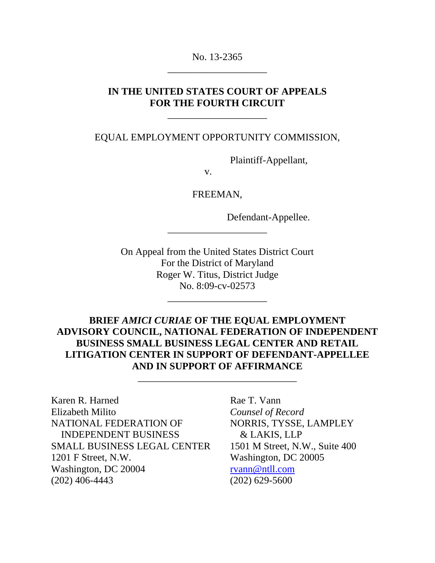No. 13-2365 \_\_\_\_\_\_\_\_\_\_\_\_\_\_\_\_\_\_\_\_

### **IN THE UNITED STATES COURT OF APPEALS FOR THE FOURTH CIRCUIT**

\_\_\_\_\_\_\_\_\_\_\_\_\_\_\_\_\_\_\_\_

EQUAL EMPLOYMENT OPPORTUNITY COMMISSION,

Plaintiff-Appellant,

v.

FREEMAN,

\_\_\_\_\_\_\_\_\_\_\_\_\_\_\_\_\_\_\_\_

Defendant-Appellee.

On Appeal from the United States District Court For the District of Maryland Roger W. Titus, District Judge No. 8:09-cv-02573

\_\_\_\_\_\_\_\_\_\_\_\_\_\_\_\_\_\_\_\_

### **BRIEF** *AMICI CURIAE* **OF THE EQUAL EMPLOYMENT ADVISORY COUNCIL, NATIONAL FEDERATION OF INDEPENDENT BUSINESS SMALL BUSINESS LEGAL CENTER AND RETAIL LITIGATION CENTER IN SUPPORT OF DEFENDANT-APPELLEE AND IN SUPPORT OF AFFIRMANCE**

\_\_\_\_\_\_\_\_\_\_\_\_\_\_\_\_\_\_\_\_\_\_\_\_\_\_\_\_\_\_\_\_

Karen R. Harned Rae T. Vann Elizabeth Milito *Counsel of Record* NATIONAL FEDERATION OF NORRIS, TYSSE, LAMPLEY INDEPENDENT BUSINESS & LAKIS, LLP SMALL BUSINESS LEGAL CENTER 1501 M Street, N.W., Suite 400 1201 F Street, N.W. Washington, DC 20005 Washington, DC 20004 [rvann@ntll.com](mailto:rvann@ntll.com) (202) 406-4443 (202) 629-5600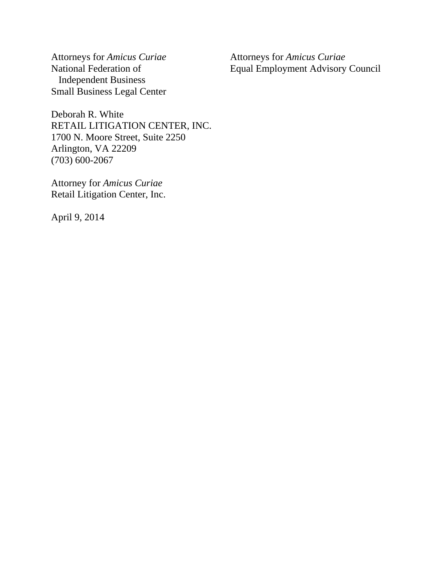Attorneys for *Amicus Curiae* Attorneys for *Amicus Curiae* Independent Business Small Business Legal Center

National Federation of Equal Employment Advisory Council

Deborah R. White RETAIL LITIGATION CENTER, INC. 1700 N. Moore Street, Suite 2250 Arlington, VA 22209 (703) 600-2067

Attorney for *Amicus Curiae* Retail Litigation Center, Inc.

April 9, 2014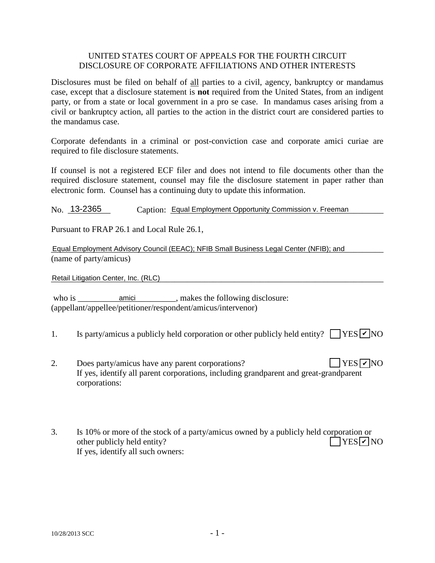#### UNITED STATES COURT OF APPEALS FOR THE FOURTH CIRCUIT DISCLOSURE OF CORPORATE AFFILIATIONS AND OTHER INTERESTS

Disclosures must be filed on behalf of all parties to a civil, agency, bankruptcy or mandamus case, except that a disclosure statement is **not** required from the United States, from an indigent party, or from a state or local government in a pro se case. In mandamus cases arising from a civil or bankruptcy action, all parties to the action in the district court are considered parties to the mandamus case.

Corporate defendants in a criminal or post-conviction case and corporate amici curiae are required to file disclosure statements.

If counsel is not a registered ECF filer and does not intend to file documents other than the required disclosure statement, counsel may file the disclosure statement in paper rather than electronic form. Counsel has a continuing duty to update this information.

No. 13-2365 Caption: Equal Employment Opportunity Commission v. Freeman

Pursuant to FRAP 26.1 and Local Rule 26.1,

Equal Employment Advisory Council (EEAC); NFIB Small Business Legal Center (NFIB); and<br>(name of party/amicus)<br>Retail Litigation Center, Inc. (RLC) (name of party/amicus)

Retail Litigation Center, Inc. (RLC)

who is \_\_\_\_\_\_\_\_\_\_\_\_\_\_\_\_\_\_\_\_\_\_\_\_\_\_\_\_\_, makes the following disclosure: (appellant/appellee/petitioner/respondent/amicus/intervenor)

- 1. Is party/amicus a publicly held corporation or other publicly held entity?  $\Box$  YES  $\nu$  NO
- 2. Does party/amicus have any parent corporations? If yes, identify all parent corporations, including grandparent and great-grandparent corporations:  $YES$   $\nabla$  NO
- 3. Is 10% or more of the stock of a party/amicus owned by a publicly held corporation or other publicly held entity? If yes, identify all such owners:  $\bigcap$ YES $\neg$ NO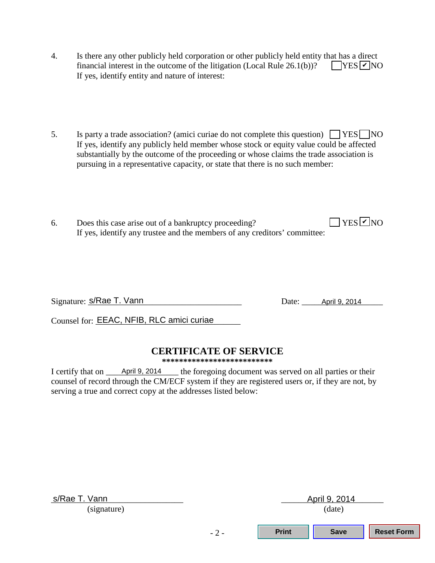- 4. Is there any other publicly held corporation or other publicly held entity that has a direct financial interest in the outcome of the litigation (Local Rule  $26.1(b)$ )? If yes, identify entity and nature of interest:  $\Box$ YES  $\Box$ NO
- 5. Is party a trade association? (amici curiae do not complete this question)  $\Box$  YES  $\Box$  NO If yes, identify any publicly held member whose stock or equity value could be affected substantially by the outcome of the proceeding or whose claims the trade association is pursuing in a representative capacity, or state that there is no such member:
- 6. Does this case arise out of a bankruptcy proceeding? If yes, identify any trustee and the members of any creditors' committee:  $\Box$  YES  $\Box$  NO

Signature:  $s/R$ ae T. Vann

Date: April 9, 2014

Counsel for: **EEAC, NFIB, RLC amici curiae** 

## **CERTIFICATE OF SERVICE**

**\*\*\*\*\*\*\*\*\*\*\*\*\*\*\*\*\*\*\*\*\*\*\*\*\*\***

I certify that on  $\_\_$  April 9, 2014  $\_\_$  the foregoing document was served on all parties or their counsel of record through the CM/ECF system if they are registered users or, if they are not, by serving a true and correct copy at the addresses listed below:

| s/Rae T. Vann | April 9, 2014 |              |             |                   |
|---------------|---------------|--------------|-------------|-------------------|
| (signature)   | (date)        |              |             |                   |
|               | $-2-$         | <b>Print</b> | <b>Save</b> | <b>Reset Form</b> |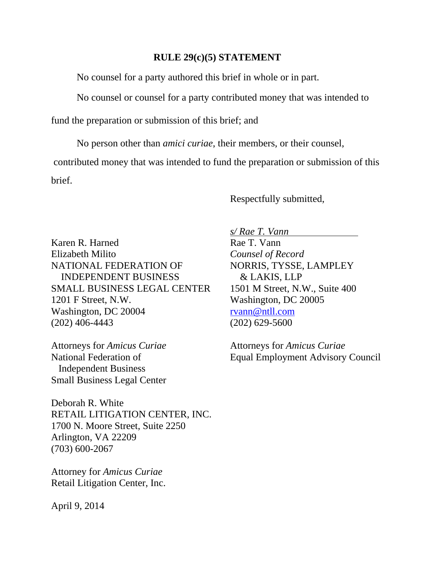#### **RULE 29(c)(5) STATEMENT**

No counsel for a party authored this brief in whole or in part.

No counsel or counsel for a party contributed money that was intended to

fund the preparation or submission of this brief; and

 No person other than *amici curiae*, their members, or their counsel, contributed money that was intended to fund the preparation or submission of this brief.

Respectfully submitted,

Karen R. Harned Rae T. Vann Elizabeth Milito *Counsel of Record* NATIONAL FEDERATION OF NORRIS, TYSSE, LAMPLEY INDEPENDENT BUSINESS & LAKIS, LLP SMALL BUSINESS LEGAL CENTER 1501 M Street, N.W., Suite 400 1201 F Street, N.W. Washington, DC 20005 Washington, DC 20004 [rvann@ntll.com](mailto:rvann@ntll.com) (202) 406-4443 (202) 629-5600

Attorneys for *Amicus Curiae* Attorneys for *Amicus Curiae* Independent Business Small Business Legal Center

Deborah R. White RETAIL LITIGATION CENTER, INC. 1700 N. Moore Street, Suite 2250 Arlington, VA 22209 (703) 600-2067

Attorney for *Amicus Curiae* Retail Litigation Center, Inc. *s/ Rae T. Vann* 

National Federation of Equal Employment Advisory Council

April 9, 2014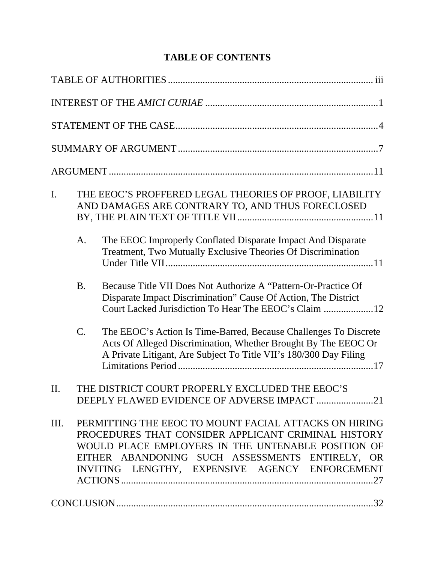# **TABLE OF CONTENTS**

| $\mathbf{I}$ . |                 | THE EEOC'S PROFFERED LEGAL THEORIES OF PROOF, LIABILITY<br>AND DAMAGES ARE CONTRARY TO, AND THUS FORECLOSED                                                                                                                                                             |
|----------------|-----------------|-------------------------------------------------------------------------------------------------------------------------------------------------------------------------------------------------------------------------------------------------------------------------|
|                | A.              | The EEOC Improperly Conflated Disparate Impact And Disparate<br>Treatment, Two Mutually Exclusive Theories Of Discrimination                                                                                                                                            |
|                | <b>B.</b>       | Because Title VII Does Not Authorize A "Pattern-Or-Practice Of<br>Disparate Impact Discrimination" Cause Of Action, The District<br>Court Lacked Jurisdiction To Hear The EEOC's Claim 12                                                                               |
|                | $\mathcal{C}$ . | The EEOC's Action Is Time-Barred, Because Challenges To Discrete<br>Acts Of Alleged Discrimination, Whether Brought By The EEOC Or<br>A Private Litigant, Are Subject To Title VII's 180/300 Day Filing                                                                 |
| $\Pi$ .        |                 | THE DISTRICT COURT PROPERLY EXCLUDED THE EEOC'S<br>DEEPLY FLAWED EVIDENCE OF ADVERSE IMPACT 21                                                                                                                                                                          |
| III.           |                 | PERMITTING THE EEOC TO MOUNT FACIAL ATTACKS ON HIRING<br>PROCEDURES THAT CONSIDER APPLICANT CRIMINAL HISTORY<br>WOULD PLACE EMPLOYERS IN THE UNTENABLE POSITION OF<br>EITHER ABANDONING SUCH ASSESSMENTS ENTIRELY, OR<br>INVITING LENGTHY, EXPENSIVE AGENCY ENFORCEMENT |
|                |                 |                                                                                                                                                                                                                                                                         |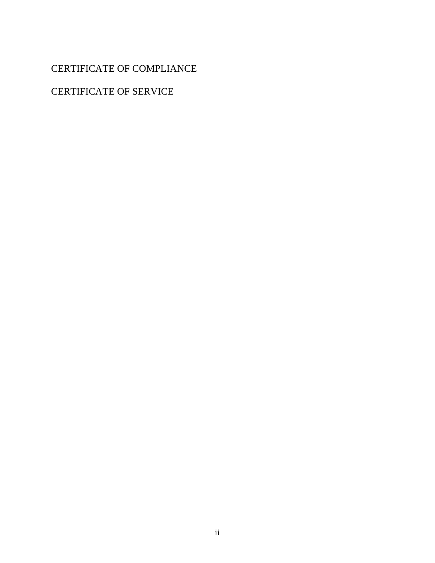# CERTIFICATE OF COMPLIANCE

## CERTIFICATE OF SERVICE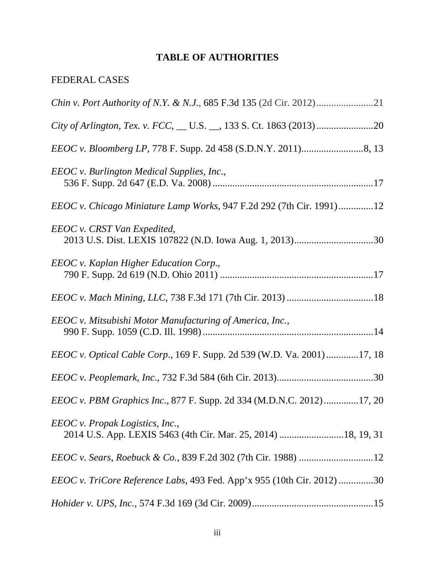## **TABLE OF AUTHORITIES**

### FEDERAL CASES

| EEOC v. Burlington Medical Supplies, Inc.,                                     |
|--------------------------------------------------------------------------------|
| <i>EEOC v. Chicago Miniature Lamp Works, 947 F.2d 292 (7th Cir. 1991)12</i>    |
| EEOC v. CRST Van Expedited,                                                    |
| EEOC v. Kaplan Higher Education Corp.,                                         |
|                                                                                |
| EEOC v. Mitsubishi Motor Manufacturing of America, Inc.,                       |
| <i>EEOC v. Optical Cable Corp.</i> , 169 F. Supp. 2d 539 (W.D. Va. 2001)17, 18 |
|                                                                                |
| <i>EEOC v. PBM Graphics Inc.</i> , 877 F. Supp. 2d 334 (M.D.N.C. 2012)17, 20   |
| EEOC v. Propak Logistics, Inc.,                                                |
|                                                                                |
| <i>EEOC v. TriCore Reference Labs,</i> 493 Fed. App'x 955 (10th Cir. 2012) 30  |
|                                                                                |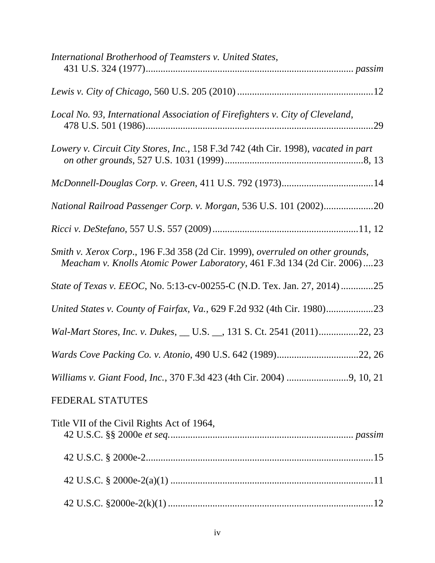| International Brotherhood of Teamsters v. United States,                                                                                                    |
|-------------------------------------------------------------------------------------------------------------------------------------------------------------|
|                                                                                                                                                             |
| Local No. 93, International Association of Firefighters v. City of Cleveland,                                                                               |
| Lowery v. Circuit City Stores, Inc., 158 F.3d 742 (4th Cir. 1998), vacated in part                                                                          |
|                                                                                                                                                             |
| National Railroad Passenger Corp. v. Morgan, 536 U.S. 101 (2002)20                                                                                          |
|                                                                                                                                                             |
| Smith v. Xerox Corp., 196 F.3d 358 (2d Cir. 1999), overruled on other grounds,<br>Meacham v. Knolls Atomic Power Laboratory, 461 F.3d 134 (2d Cir. 2006) 23 |
| State of Texas v. EEOC, No. 5:13-cv-00255-C (N.D. Tex. Jan. 27, 2014)25                                                                                     |
|                                                                                                                                                             |
| Wal-Mart Stores, Inc. v. Dukes, __ U.S. __, 131 S. Ct. 2541 (2011)22, 23                                                                                    |
|                                                                                                                                                             |
|                                                                                                                                                             |
| <b>FEDERAL STATUTES</b>                                                                                                                                     |
| Title VII of the Civil Rights Act of 1964,                                                                                                                  |
|                                                                                                                                                             |
|                                                                                                                                                             |
|                                                                                                                                                             |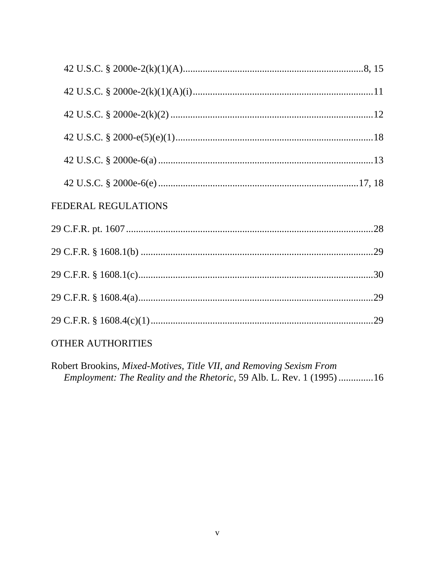| FEDERAL REGULATIONS |
|---------------------|
|                     |
|                     |
|                     |
|                     |
|                     |
|                     |

# **OTHER AUTHORITIES**

Robert Brookins, Mixed-Motives, Title VII, and Removing Sexism From Employment: The Reality and the Rhetoric, 59 Alb. L. Rev. 1 (1995) .............16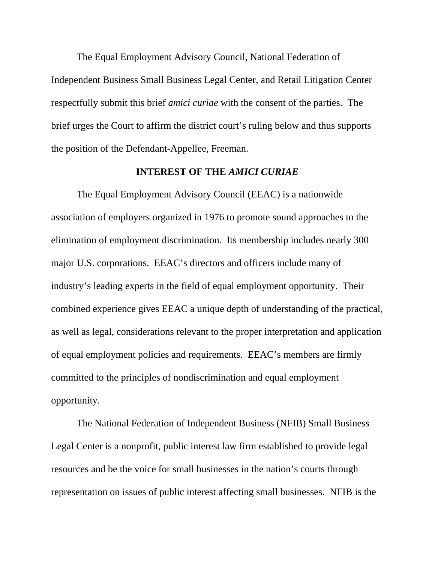The Equal Employment Advisory Council, National Federation of Independent Business Small Business Legal Center, and Retail Litigation Center respectfully submit this brief *amici curiae* with the consent of the parties. The brief urges the Court to affirm the district court's ruling below and thus supports the position of the Defendant-Appellee, Freeman.

#### **INTEREST OF THE** *AMICI CURIAE*

 The Equal Employment Advisory Council (EEAC) is a nationwide association of employers organized in 1976 to promote sound approaches to the elimination of employment discrimination. Its membership includes nearly 300 major U.S. corporations. EEAC's directors and officers include many of industry's leading experts in the field of equal employment opportunity. Their combined experience gives EEAC a unique depth of understanding of the practical, as well as legal, considerations relevant to the proper interpretation and application of equal employment policies and requirements. EEAC's members are firmly committed to the principles of nondiscrimination and equal employment opportunity.

The National Federation of Independent Business (NFIB) Small Business Legal Center is a nonprofit, public interest law firm established to provide legal resources and be the voice for small businesses in the nation's courts through representation on issues of public interest affecting small businesses. NFIB is the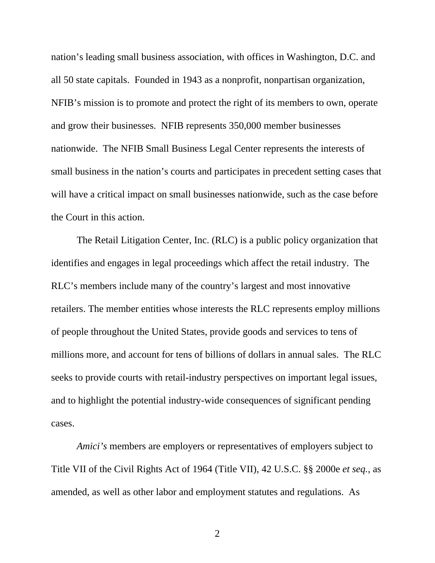nation's leading small business association, with offices in Washington, D.C. and all 50 state capitals. Founded in 1943 as a nonprofit, nonpartisan organization, NFIB's mission is to promote and protect the right of its members to own, operate and grow their businesses. NFIB represents 350,000 member businesses nationwide. The NFIB Small Business Legal Center represents the interests of small business in the nation's courts and participates in precedent setting cases that will have a critical impact on small businesses nationwide, such as the case before the Court in this action.

The Retail Litigation Center, Inc. (RLC) is a public policy organization that identifies and engages in legal proceedings which affect the retail industry. The RLC's members include many of the country's largest and most innovative retailers. The member entities whose interests the RLC represents employ millions of people throughout the United States, provide goods and services to tens of millions more, and account for tens of billions of dollars in annual sales. The RLC seeks to provide courts with retail-industry perspectives on important legal issues, and to highlight the potential industry-wide consequences of significant pending cases.

*Amici's* members are employers or representatives of employers subject to Title VII of the Civil Rights Act of 1964 (Title VII), 42 U.S.C. §§ 2000e *et seq.*, as amended, as well as other labor and employment statutes and regulations. As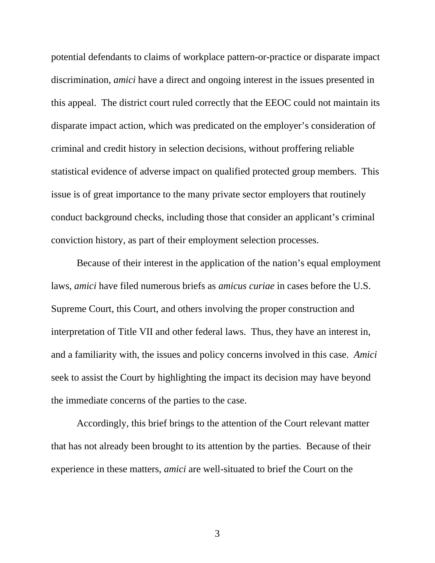potential defendants to claims of workplace pattern-or-practice or disparate impact discrimination, *amici* have a direct and ongoing interest in the issues presented in this appeal. The district court ruled correctly that the EEOC could not maintain its disparate impact action, which was predicated on the employer's consideration of criminal and credit history in selection decisions, without proffering reliable statistical evidence of adverse impact on qualified protected group members. This issue is of great importance to the many private sector employers that routinely conduct background checks, including those that consider an applicant's criminal conviction history, as part of their employment selection processes.

Because of their interest in the application of the nation's equal employment laws, *amici* have filed numerous briefs as *amicus curiae* in cases before the U.S. Supreme Court, this Court, and others involving the proper construction and interpretation of Title VII and other federal laws. Thus, they have an interest in, and a familiarity with, the issues and policy concerns involved in this case. *Amici* seek to assist the Court by highlighting the impact its decision may have beyond the immediate concerns of the parties to the case.

Accordingly, this brief brings to the attention of the Court relevant matter that has not already been brought to its attention by the parties. Because of their experience in these matters, *amici* are well-situated to brief the Court on the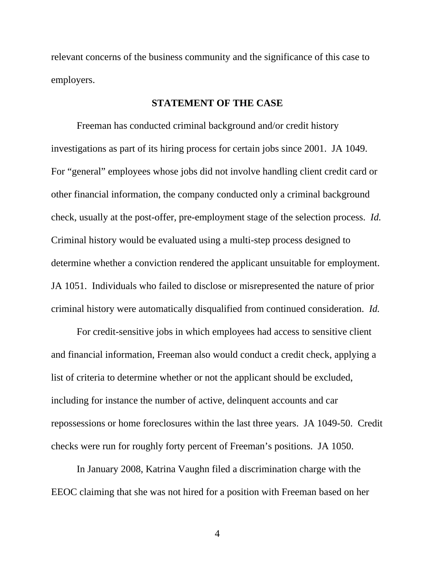relevant concerns of the business community and the significance of this case to employers.

#### **STATEMENT OF THE CASE**

 Freeman has conducted criminal background and/or credit history investigations as part of its hiring process for certain jobs since 2001. JA 1049. For "general" employees whose jobs did not involve handling client credit card or other financial information, the company conducted only a criminal background check, usually at the post-offer, pre-employment stage of the selection process. *Id.* Criminal history would be evaluated using a multi-step process designed to determine whether a conviction rendered the applicant unsuitable for employment. JA 1051. Individuals who failed to disclose or misrepresented the nature of prior criminal history were automatically disqualified from continued consideration. *Id.*

 For credit-sensitive jobs in which employees had access to sensitive client and financial information, Freeman also would conduct a credit check, applying a list of criteria to determine whether or not the applicant should be excluded, including for instance the number of active, delinquent accounts and car repossessions or home foreclosures within the last three years. JA 1049-50. Credit checks were run for roughly forty percent of Freeman's positions. JA 1050.

 In January 2008, Katrina Vaughn filed a discrimination charge with the EEOC claiming that she was not hired for a position with Freeman based on her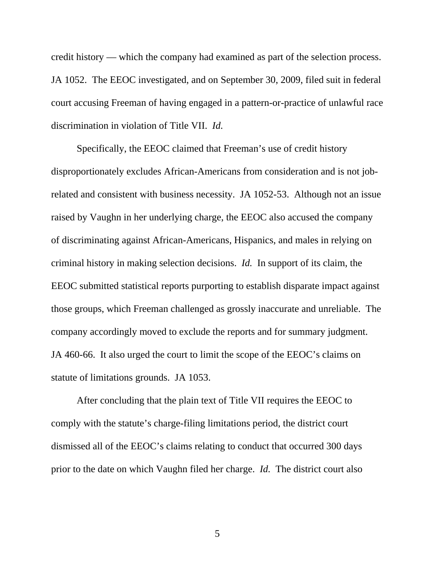credit history — which the company had examined as part of the selection process. JA 1052. The EEOC investigated, and on September 30, 2009, filed suit in federal court accusing Freeman of having engaged in a pattern-or-practice of unlawful race discrimination in violation of Title VII. *Id.* 

 Specifically, the EEOC claimed that Freeman's use of credit history disproportionately excludes African-Americans from consideration and is not jobrelated and consistent with business necessity. JA 1052-53. Although not an issue raised by Vaughn in her underlying charge, the EEOC also accused the company of discriminating against African-Americans, Hispanics, and males in relying on criminal history in making selection decisions. *Id.* In support of its claim, the EEOC submitted statistical reports purporting to establish disparate impact against those groups, which Freeman challenged as grossly inaccurate and unreliable. The company accordingly moved to exclude the reports and for summary judgment. JA 460-66. It also urged the court to limit the scope of the EEOC's claims on statute of limitations grounds. JA 1053.

 After concluding that the plain text of Title VII requires the EEOC to comply with the statute's charge-filing limitations period, the district court dismissed all of the EEOC's claims relating to conduct that occurred 300 days prior to the date on which Vaughn filed her charge. *Id.* The district court also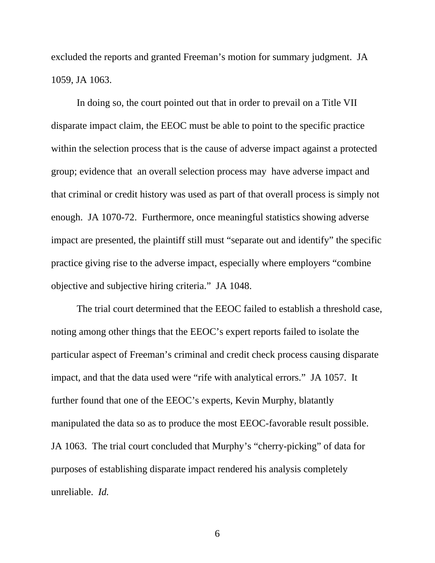excluded the reports and granted Freeman's motion for summary judgment. JA 1059, JA 1063.

 In doing so, the court pointed out that in order to prevail on a Title VII disparate impact claim, the EEOC must be able to point to the specific practice within the selection process that is the cause of adverse impact against a protected group; evidence that an overall selection process may have adverse impact and that criminal or credit history was used as part of that overall process is simply not enough. JA 1070-72. Furthermore, once meaningful statistics showing adverse impact are presented, the plaintiff still must "separate out and identify" the specific practice giving rise to the adverse impact, especially where employers "combine objective and subjective hiring criteria." JA 1048.

 The trial court determined that the EEOC failed to establish a threshold case, noting among other things that the EEOC's expert reports failed to isolate the particular aspect of Freeman's criminal and credit check process causing disparate impact, and that the data used were "rife with analytical errors." JA 1057. It further found that one of the EEOC's experts, Kevin Murphy, blatantly manipulated the data so as to produce the most EEOC-favorable result possible. JA 1063. The trial court concluded that Murphy's "cherry-picking" of data for purposes of establishing disparate impact rendered his analysis completely unreliable. *Id.*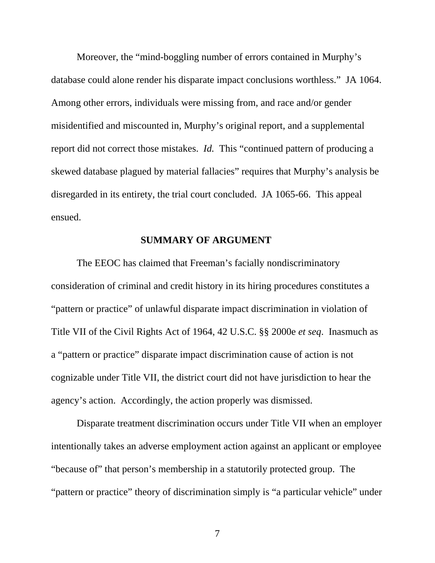Moreover, the "mind-boggling number of errors contained in Murphy's database could alone render his disparate impact conclusions worthless." JA 1064. Among other errors, individuals were missing from, and race and/or gender misidentified and miscounted in, Murphy's original report, and a supplemental report did not correct those mistakes. *Id.* This "continued pattern of producing a skewed database plagued by material fallacies" requires that Murphy's analysis be disregarded in its entirety, the trial court concluded. JA 1065-66. This appeal ensued.

### **SUMMARY OF ARGUMENT**

The EEOC has claimed that Freeman's facially nondiscriminatory consideration of criminal and credit history in its hiring procedures constitutes a "pattern or practice" of unlawful disparate impact discrimination in violation of Title VII of the Civil Rights Act of 1964, 42 U.S.C. §§ 2000e *et seq*. Inasmuch as a "pattern or practice" disparate impact discrimination cause of action is not cognizable under Title VII, the district court did not have jurisdiction to hear the agency's action. Accordingly, the action properly was dismissed.

Disparate treatment discrimination occurs under Title VII when an employer intentionally takes an adverse employment action against an applicant or employee "because of" that person's membership in a statutorily protected group. The "pattern or practice" theory of discrimination simply is "a particular vehicle" under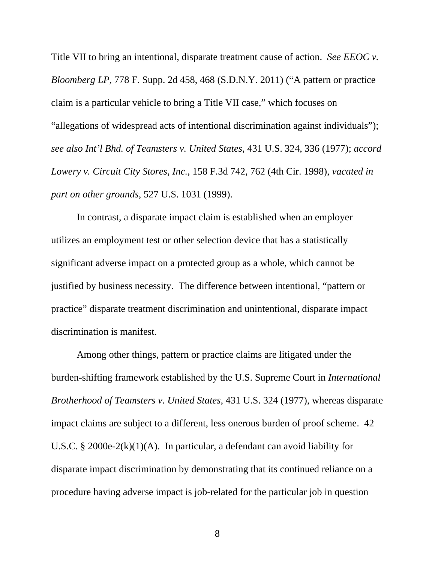Title VII to bring an intentional, disparate treatment cause of action. *See EEOC v. Bloomberg LP*, 778 F. Supp. 2d 458, 468 (S.D.N.Y. 2011) ("A pattern or practice claim is a particular vehicle to bring a Title VII case," which focuses on "allegations of widespread acts of intentional discrimination against individuals"); *see also Int'l Bhd. of Teamsters v. United States*, 431 U.S. 324, 336 (1977); *accord Lowery v. Circuit City Stores, Inc.*, 158 F.3d 742, 762 (4th Cir. 1998), *vacated in part on other grounds*, 527 U.S. 1031 (1999).

In contrast, a disparate impact claim is established when an employer utilizes an employment test or other selection device that has a statistically significant adverse impact on a protected group as a whole, which cannot be justified by business necessity. The difference between intentional, "pattern or practice" disparate treatment discrimination and unintentional, disparate impact discrimination is manifest.

Among other things, pattern or practice claims are litigated under the burden-shifting framework established by the U.S. Supreme Court in *International Brotherhood of Teamsters v. United States*, 431 U.S. 324 (1977), whereas disparate impact claims are subject to a different, less onerous burden of proof scheme. 42 U.S.C. § 2000e-2 $(k)(1)(A)$ . In particular, a defendant can avoid liability for disparate impact discrimination by demonstrating that its continued reliance on a procedure having adverse impact is job-related for the particular job in question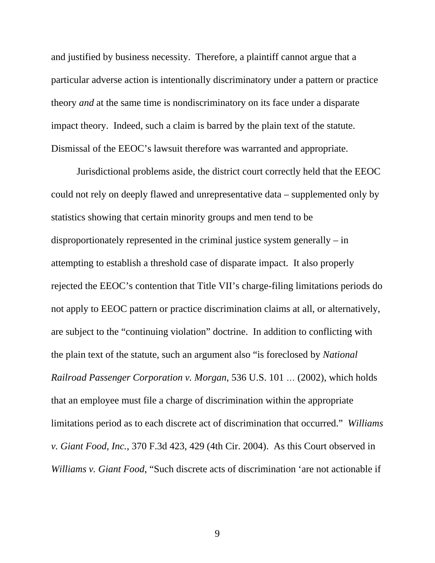and justified by business necessity. Therefore, a plaintiff cannot argue that a particular adverse action is intentionally discriminatory under a pattern or practice theory *and* at the same time is nondiscriminatory on its face under a disparate impact theory. Indeed, such a claim is barred by the plain text of the statute. Dismissal of the EEOC's lawsuit therefore was warranted and appropriate.

Jurisdictional problems aside, the district court correctly held that the EEOC could not rely on deeply flawed and unrepresentative data – supplemented only by statistics showing that certain minority groups and men tend to be disproportionately represented in the criminal justice system generally – in attempting to establish a threshold case of disparate impact. It also properly rejected the EEOC's contention that Title VII's charge-filing limitations periods do not apply to EEOC pattern or practice discrimination claims at all, or alternatively, are subject to the "continuing violation" doctrine. In addition to conflicting with the plain text of the statute, such an argument also "is foreclosed by *National Railroad Passenger Corporation v. Morgan*, 536 U.S. 101 … (2002), which holds that an employee must file a charge of discrimination within the appropriate limitations period as to each discrete act of discrimination that occurred." *Williams v. Giant Food, Inc.*, 370 F.3d 423, 429 (4th Cir. 2004). As this Court observed in *Williams v. Giant Food*, "Such discrete acts of discrimination 'are not actionable if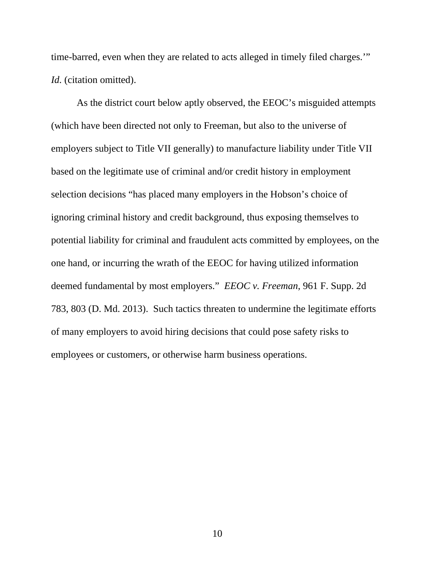time-barred, even when they are related to acts alleged in timely filed charges.'" *Id.* (citation omitted).

As the district court below aptly observed, the EEOC's misguided attempts (which have been directed not only to Freeman, but also to the universe of employers subject to Title VII generally) to manufacture liability under Title VII based on the legitimate use of criminal and/or credit history in employment selection decisions "has placed many employers in the Hobson's choice of ignoring criminal history and credit background, thus exposing themselves to potential liability for criminal and fraudulent acts committed by employees, on the one hand, or incurring the wrath of the EEOC for having utilized information deemed fundamental by most employers." *EEOC v. Freeman*, 961 F. Supp. 2d 783, 803 (D. Md. 2013). Such tactics threaten to undermine the legitimate efforts of many employers to avoid hiring decisions that could pose safety risks to employees or customers, or otherwise harm business operations.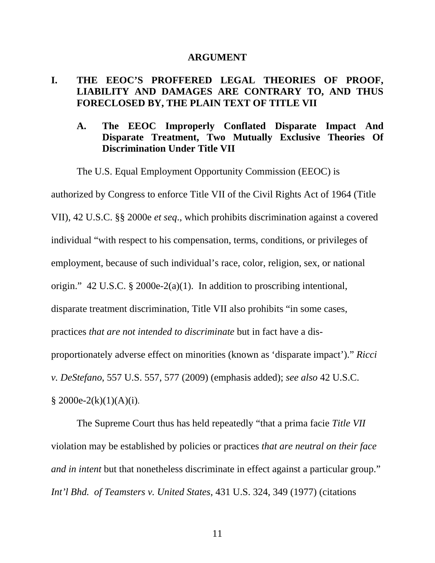#### **ARGUMENT**

### **I. THE EEOC'S PROFFERED LEGAL THEORIES OF PROOF, LIABILITY AND DAMAGES ARE CONTRARY TO, AND THUS FORECLOSED BY, THE PLAIN TEXT OF TITLE VII**

### **A. The EEOC Improperly Conflated Disparate Impact And Disparate Treatment, Two Mutually Exclusive Theories Of Discrimination Under Title VII**

The U.S. Equal Employment Opportunity Commission (EEOC) is

authorized by Congress to enforce Title VII of the Civil Rights Act of 1964 (Title VII), 42 U.S.C. §§ 2000e *et seq*., which prohibits discrimination against a covered individual "with respect to his compensation, terms, conditions, or privileges of employment, because of such individual's race, color, religion, sex, or national origin." 42 U.S.C. § 2000e-2(a)(1). In addition to proscribing intentional, disparate treatment discrimination, Title VII also prohibits "in some cases, practices *that are not intended to discriminate* but in fact have a disproportionately adverse effect on minorities (known as 'disparate impact')." *Ricci v. DeStefano*, 557 U.S. 557, 577 (2009) (emphasis added); *see also* 42 U.S.C.  $§$  2000e-2(k)(1)(A)(i).

The Supreme Court thus has held repeatedly "that a prima facie *Title VII* violation may be established by policies or practices *that are neutral on their face and in intent* but that nonetheless discriminate in effect against a particular group." *Int'l Bhd. of Teamsters v. United States*, 431 U.S. 324, 349 (1977) (citations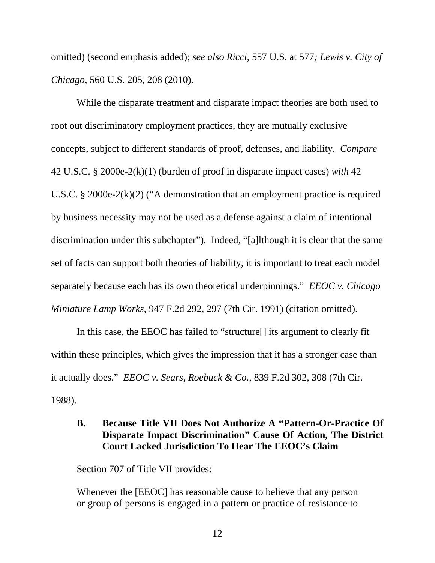omitted) (second emphasis added); *see also Ricci*, 557 U.S. at 577*; Lewis v. City of Chicago*, 560 U.S. 205, 208 (2010).

While the disparate treatment and disparate impact theories are both used to root out discriminatory employment practices, they are mutually exclusive concepts, subject to different standards of proof, defenses, and liability. *Compare*  42 U.S.C. § 2000e-2(k)(1) (burden of proof in disparate impact cases) *with* 42 U.S.C. § 2000e-2(k)(2) ("A demonstration that an employment practice is required by business necessity may not be used as a defense against a claim of intentional discrimination under this subchapter"). Indeed, "[a]lthough it is clear that the same set of facts can support both theories of liability, it is important to treat each model separately because each has its own theoretical underpinnings." *EEOC v. Chicago Miniature Lamp Works*, 947 F.2d 292, 297 (7th Cir. 1991) (citation omitted).

In this case, the EEOC has failed to "structure[] its argument to clearly fit within these principles, which gives the impression that it has a stronger case than it actually does." *EEOC v. Sears, Roebuck & Co.*, 839 F.2d 302, 308 (7th Cir. 1988).

## **B. Because Title VII Does Not Authorize A "Pattern-Or-Practice Of Disparate Impact Discrimination" Cause Of Action, The District Court Lacked Jurisdiction To Hear The EEOC's Claim**

Section 707 of Title VII provides:

Whenever the [EEOC] has reasonable cause to believe that any person or group of persons is engaged in a pattern or practice of resistance to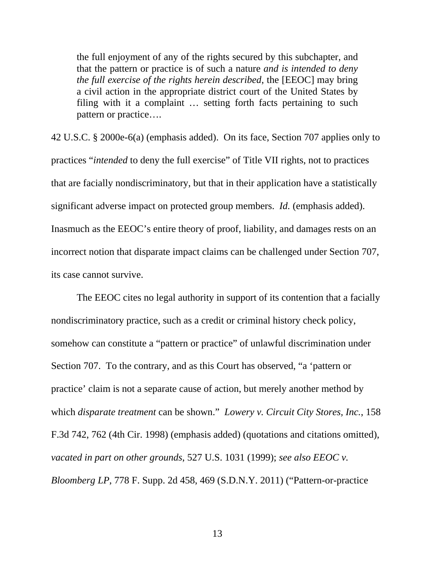the full enjoyment of any of the rights secured by this subchapter, and that the pattern or practice is of such a nature *and is intended to deny the full exercise of the rights herein described*, the [EEOC] may bring a civil action in the appropriate district court of the United States by filing with it a complaint … setting forth facts pertaining to such pattern or practice….

42 U.S.C. § 2000e-6(a) (emphasis added). On its face, Section 707 applies only to practices "*intended* to deny the full exercise" of Title VII rights, not to practices that are facially nondiscriminatory, but that in their application have a statistically significant adverse impact on protected group members. *Id.* (emphasis added). Inasmuch as the EEOC's entire theory of proof, liability, and damages rests on an incorrect notion that disparate impact claims can be challenged under Section 707, its case cannot survive.

The EEOC cites no legal authority in support of its contention that a facially nondiscriminatory practice, such as a credit or criminal history check policy, somehow can constitute a "pattern or practice" of unlawful discrimination under Section 707. To the contrary, and as this Court has observed, "a 'pattern or practice' claim is not a separate cause of action, but merely another method by which *disparate treatment* can be shown." *Lowery v. Circuit City Stores, Inc.*, 158 F.3d 742, 762 (4th Cir. 1998) (emphasis added) (quotations and citations omitted), *vacated in part on other grounds*, 527 U.S. 1031 (1999); *see also EEOC v. Bloomberg LP*, 778 F. Supp. 2d 458, 469 (S.D.N.Y. 2011) ("Pattern-or-practice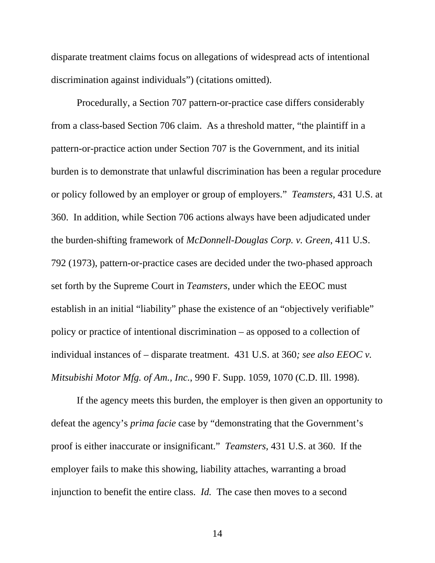disparate treatment claims focus on allegations of widespread acts of intentional discrimination against individuals") (citations omitted).

Procedurally, a Section 707 pattern-or-practice case differs considerably from a class-based Section 706 claim. As a threshold matter, "the plaintiff in a pattern-or-practice action under Section 707 is the Government, and its initial burden is to demonstrate that unlawful discrimination has been a regular procedure or policy followed by an employer or group of employers." *Teamsters,* 431 U.S. at 360. In addition, while Section 706 actions always have been adjudicated under the burden-shifting framework of *McDonnell-Douglas Corp. v. Green*, 411 U.S. 792 (1973), pattern-or-practice cases are decided under the two-phased approach set forth by the Supreme Court in *Teamsters*, under which the EEOC must establish in an initial "liability" phase the existence of an "objectively verifiable" policy or practice of intentional discrimination – as opposed to a collection of individual instances of – disparate treatment. 431 U.S. at 360*; see also EEOC v. Mitsubishi Motor Mfg. of Am., Inc.*, 990 F. Supp. 1059, 1070 (C.D. Ill. 1998).

If the agency meets this burden, the employer is then given an opportunity to defeat the agency's *prima facie* case by "demonstrating that the Government's proof is either inaccurate or insignificant." *Teamsters,* 431 U.S. at 360. If the employer fails to make this showing, liability attaches, warranting a broad injunction to benefit the entire class. *Id.* The case then moves to a second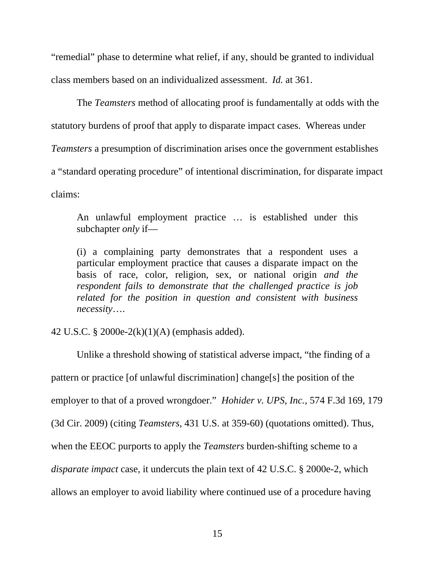"remedial" phase to determine what relief, if any, should be granted to individual class members based on an individualized assessment. *Id.* at 361.

The *Teamsters* method of allocating proof is fundamentally at odds with the statutory burdens of proof that apply to disparate impact cases. Whereas under *Teamsters* a presumption of discrimination arises once the government establishes a "standard operating procedure" of intentional discrimination, for disparate impact claims:

An unlawful employment practice … is established under this subchapter *only* if—

(i) a complaining party demonstrates that a respondent uses a particular employment practice that causes a disparate impact on the basis of race, color, religion, sex, or national origin *and the respondent fails to demonstrate that the challenged practice is job related for the position in question and consistent with business necessity*….

42 U.S.C. § 2000e-2(k)(1)(A) (emphasis added).

Unlike a threshold showing of statistical adverse impact, "the finding of a pattern or practice [of unlawful discrimination] change[s] the position of the employer to that of a proved wrongdoer." *Hohider v. UPS, Inc.*, 574 F.3d 169, 179 (3d Cir. 2009) (citing *Teamsters,* 431 U.S. at 359-60) (quotations omitted). Thus, when the EEOC purports to apply the *Teamsters* burden-shifting scheme to a *disparate impact* case, it undercuts the plain text of 42 U.S.C. § 2000e-2, which allows an employer to avoid liability where continued use of a procedure having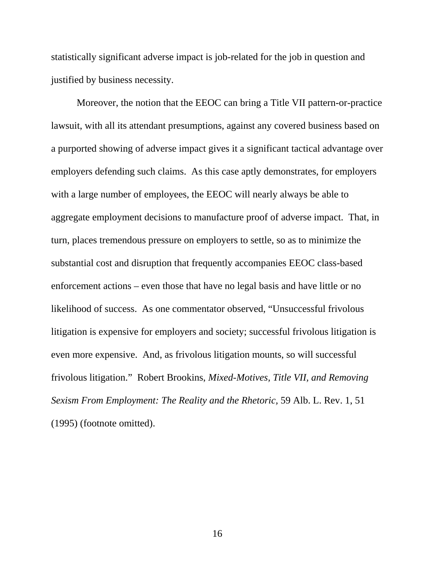statistically significant adverse impact is job-related for the job in question and justified by business necessity.

Moreover, the notion that the EEOC can bring a Title VII pattern-or-practice lawsuit, with all its attendant presumptions, against any covered business based on a purported showing of adverse impact gives it a significant tactical advantage over employers defending such claims. As this case aptly demonstrates, for employers with a large number of employees, the EEOC will nearly always be able to aggregate employment decisions to manufacture proof of adverse impact. That, in turn, places tremendous pressure on employers to settle, so as to minimize the substantial cost and disruption that frequently accompanies EEOC class-based enforcement actions – even those that have no legal basis and have little or no likelihood of success. As one commentator observed, "Unsuccessful frivolous litigation is expensive for employers and society; successful frivolous litigation is even more expensive. And, as frivolous litigation mounts, so will successful frivolous litigation." Robert Brookins, *Mixed-Motives, Title VII, and Removing Sexism From Employment: The Reality and the Rhetoric,* 59 Alb. L. Rev. 1, 51 (1995) (footnote omitted).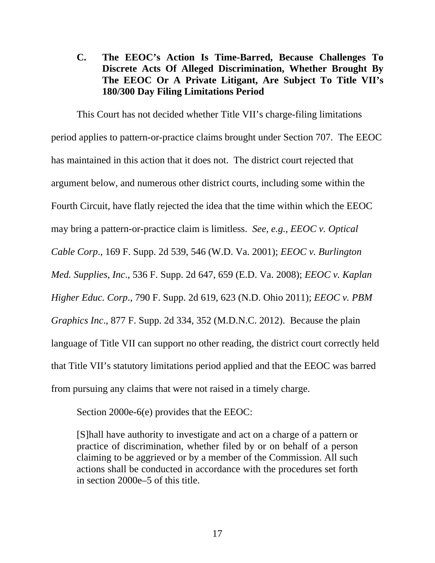**C. The EEOC's Action Is Time-Barred, Because Challenges To Discrete Acts Of Alleged Discrimination, Whether Brought By The EEOC Or A Private Litigant, Are Subject To Title VII's 180/300 Day Filing Limitations Period** 

 This Court has not decided whether Title VII's charge-filing limitations period applies to pattern-or-practice claims brought under Section 707. The EEOC has maintained in this action that it does not. The district court rejected that argument below, and numerous other district courts, including some within the Fourth Circuit, have flatly rejected the idea that the time within which the EEOC may bring a pattern-or-practice claim is limitless. *See, e.g., EEOC v. Optical Cable Corp*., 169 F. Supp. 2d 539, 546 (W.D. Va. 2001); *EEOC v. Burlington Med. Supplies, Inc*., 536 F. Supp. 2d 647, 659 (E.D. Va. 2008); *EEOC v. Kaplan Higher Educ. Corp*., 790 F. Supp. 2d 619, 623 (N.D. Ohio 2011); *EEOC v. PBM Graphics Inc*., 877 F. Supp. 2d 334, 352 (M.D.N.C. 2012). Because the plain language of Title VII can support no other reading, the district court correctly held that Title VII's statutory limitations period applied and that the EEOC was barred from pursuing any claims that were not raised in a timely charge.

Section 2000e-6(e) provides that the EEOC:

[S]hall have authority to investigate and act on a charge of a pattern or practice of discrimination, whether filed by or on behalf of a person claiming to be aggrieved or by a member of the Commission. All such actions shall be conducted in accordance with the procedures set forth in section 2000e–5 of this title.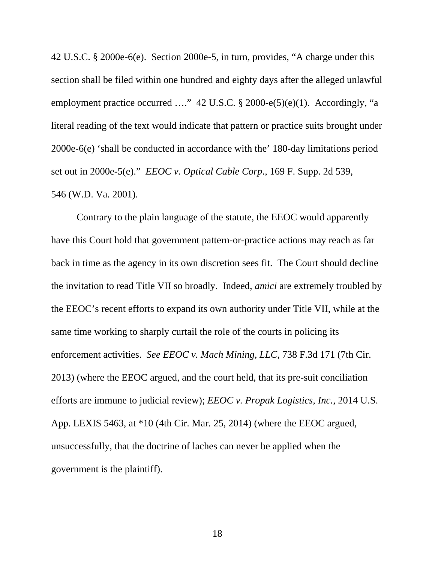42 U.S.C. § 2000e-6(e). Section 2000e-5, in turn, provides, "A charge under this section shall be filed within one hundred and eighty days after the alleged unlawful employment practice occurred ...." 42 U.S.C. § 2000-e(5)(e)(1). Accordingly, "a literal reading of the text would indicate that pattern or practice suits brought under 2000e-6(e) 'shall be conducted in accordance with the' 180-day limitations period set out in 2000e-5(e)." *EEOC v. Optical Cable Corp*., 169 F. Supp. 2d 539, 546 (W.D. Va. 2001).

 Contrary to the plain language of the statute, the EEOC would apparently have this Court hold that government pattern-or-practice actions may reach as far back in time as the agency in its own discretion sees fit. The Court should decline the invitation to read Title VII so broadly. Indeed, *amici* are extremely troubled by the EEOC's recent efforts to expand its own authority under Title VII, while at the same time working to sharply curtail the role of the courts in policing its enforcement activities. *See EEOC v. Mach Mining, LLC*, 738 F.3d 171 (7th Cir. 2013) (where the EEOC argued, and the court held, that its pre-suit conciliation efforts are immune to judicial review); *EEOC v. Propak Logistics, Inc.*, 2014 U.S. App. LEXIS 5463, at \*10 (4th Cir. Mar. 25, 2014) (where the EEOC argued, unsuccessfully, that the doctrine of laches can never be applied when the government is the plaintiff).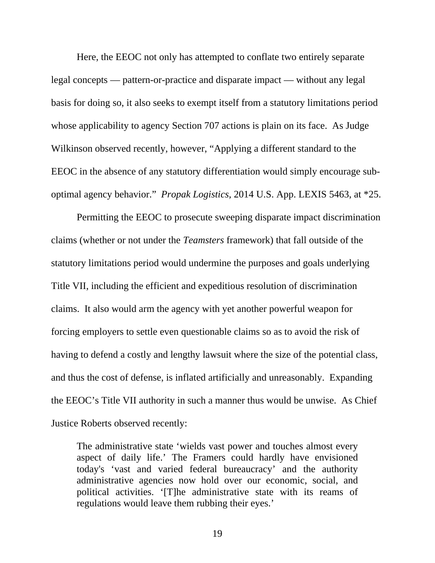Here, the EEOC not only has attempted to conflate two entirely separate legal concepts — pattern-or-practice and disparate impact — without any legal basis for doing so, it also seeks to exempt itself from a statutory limitations period whose applicability to agency Section 707 actions is plain on its face. As Judge Wilkinson observed recently*,* however, "Applying a different standard to the EEOC in the absence of any statutory differentiation would simply encourage suboptimal agency behavior." *Propak Logistics*, 2014 U.S. App. LEXIS 5463, at \*25.

Permitting the EEOC to prosecute sweeping disparate impact discrimination claims (whether or not under the *Teamsters* framework) that fall outside of the statutory limitations period would undermine the purposes and goals underlying Title VII, including the efficient and expeditious resolution of discrimination claims. It also would arm the agency with yet another powerful weapon for forcing employers to settle even questionable claims so as to avoid the risk of having to defend a costly and lengthy lawsuit where the size of the potential class, and thus the cost of defense, is inflated artificially and unreasonably. Expanding the EEOC's Title VII authority in such a manner thus would be unwise. As Chief Justice Roberts observed recently:

The administrative state 'wields vast power and touches almost every aspect of daily life.' The Framers could hardly have envisioned today's 'vast and varied federal bureaucracy' and the authority administrative agencies now hold over our economic, social, and political activities. '[T]he administrative state with its reams of regulations would leave them rubbing their eyes.'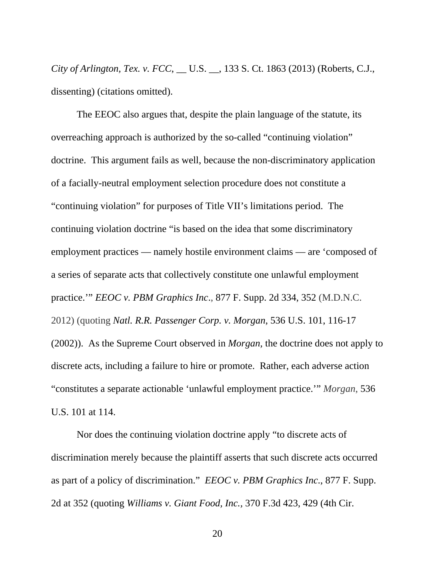*City of Arlington, Tex. v. FCC*, \_\_ U.S. \_\_, 133 S. Ct. 1863 (2013) (Roberts, C.J., dissenting) (citations omitted).

The EEOC also argues that, despite the plain language of the statute, its overreaching approach is authorized by the so-called "continuing violation" doctrine. This argument fails as well, because the non-discriminatory application of a facially-neutral employment selection procedure does not constitute a "continuing violation" for purposes of Title VII's limitations period. The continuing violation doctrine "is based on the idea that some discriminatory employment practices — namely hostile environment claims — are 'composed of a series of separate acts that collectively constitute one unlawful employment practice.'" *EEOC v. PBM Graphics Inc*., 877 F. Supp. 2d 334, 352 (M.D.N.C. 2012) (quoting *Natl. R.R. Passenger Corp. v. Morgan*, 536 U.S. 101, 116-17 (2002)). As the Supreme Court observed in *Morgan,* the doctrine does not apply to discrete acts, including a failure to hire or promote. Rather, each adverse action "constitutes a separate actionable 'unlawful employment practice.'" *Morgan*, 536 U.S. 101 at 114.

Nor does the continuing violation doctrine apply "to discrete acts of discrimination merely because the plaintiff asserts that such discrete acts occurred as part of a policy of discrimination." *EEOC v. PBM Graphics Inc*., 877 F. Supp. 2d at 352 (quoting *Williams v. Giant Food, Inc.,* 370 F.3d 423, 429 (4th Cir.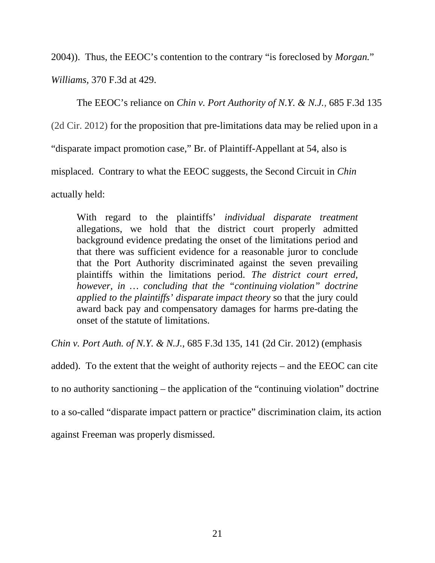2004)). Thus, the EEOC's contention to the contrary "is foreclosed by *Morgan.*"

*Williams,* 370 F.3d at 429.

The EEOC's reliance on *Chin v. Port Authority of N.Y. & N.J.,* 685 F.3d 135 (2d Cir. 2012) for the proposition that pre-limitations data may be relied upon in a "disparate impact promotion case," Br. of Plaintiff-Appellant at 54, also is misplaced. Contrary to what the EEOC suggests, the Second Circuit in *Chin*  actually held:

With regard to the plaintiffs' *individual disparate treatment*  allegations, we hold that the district court properly admitted background evidence predating the onset of the limitations period and that there was sufficient evidence for a reasonable juror to conclude that the Port Authority discriminated against the seven prevailing plaintiffs within the limitations period. *The district court erred, however, in … concluding that the "continuing violation" doctrine applied to the plaintiffs' disparate impact theory* so that the jury could award back pay and compensatory damages for harms pre-dating the onset of the statute of limitations.

*Chin v. Port Auth. of N.Y. & N.J.,* 685 F.3d 135, 141 (2d Cir. 2012) (emphasis

added). To the extent that the weight of authority rejects – and the EEOC can cite to no authority sanctioning – the application of the "continuing violation" doctrine to a so-called "disparate impact pattern or practice" discrimination claim, its action against Freeman was properly dismissed.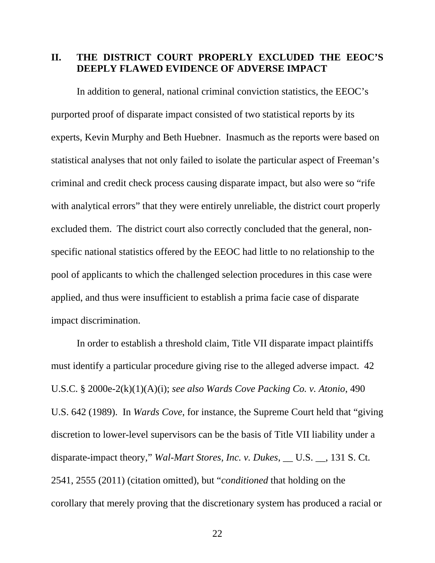### **II. THE DISTRICT COURT PROPERLY EXCLUDED THE EEOC'S DEEPLY FLAWED EVIDENCE OF ADVERSE IMPACT**

 In addition to general, national criminal conviction statistics, the EEOC's purported proof of disparate impact consisted of two statistical reports by its experts, Kevin Murphy and Beth Huebner. Inasmuch as the reports were based on statistical analyses that not only failed to isolate the particular aspect of Freeman's criminal and credit check process causing disparate impact, but also were so "rife with analytical errors" that they were entirely unreliable, the district court properly excluded them. The district court also correctly concluded that the general, nonspecific national statistics offered by the EEOC had little to no relationship to the pool of applicants to which the challenged selection procedures in this case were applied, and thus were insufficient to establish a prima facie case of disparate impact discrimination.

 In order to establish a threshold claim, Title VII disparate impact plaintiffs must identify a particular procedure giving rise to the alleged adverse impact. 42 U.S.C. § 2000e-2(k)(1)(A)(i); *see also Wards Cove Packing Co. v. Atonio*, 490 U.S. 642 (1989). In *Wards Cove*, for instance, the Supreme Court held that "giving discretion to lower-level supervisors can be the basis of Title VII liability under a disparate-impact theory," *Wal-Mart Stores, Inc. v. Dukes*, \_\_ U.S. \_\_, 131 S. Ct. 2541, 2555 (2011) (citation omitted), but "*conditioned* that holding on the corollary that merely proving that the discretionary system has produced a racial or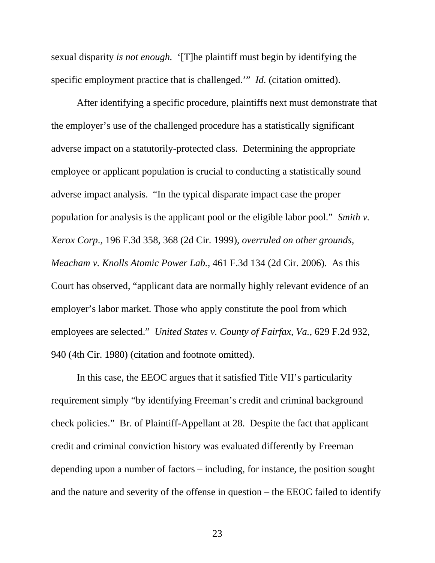sexual disparity *is not enough.* '[T]he plaintiff must begin by identifying the specific employment practice that is challenged.'" *Id.* (citation omitted).

After identifying a specific procedure, plaintiffs next must demonstrate that the employer's use of the challenged procedure has a statistically significant adverse impact on a statutorily-protected class. Determining the appropriate employee or applicant population is crucial to conducting a statistically sound adverse impact analysis. "In the typical disparate impact case the proper population for analysis is the applicant pool or the eligible labor pool." *Smith v. Xerox Corp*., 196 F.3d 358, [368](https://www.bloomberglaw.com/s/opinion/b34b61d8caea690ae5838f68028f9544/document/X3F23B?jcsearch=196%20f%203d%20358&summary=yes#jcite) (2d Cir. 1999), *overruled on other grounds*, *Meacham v. Knolls Atomic Power Lab.*, 461 F.3d 134 (2d Cir. 2006). As this Court has observed, "applicant data are normally highly relevant evidence of an employer's labor market. Those who apply constitute the pool from which employees are selected." *United States v. County of Fairfax, Va.*, 629 F.2d 932, 940 (4th Cir. 1980) (citation and footnote omitted).

 In this case, the EEOC argues that it satisfied Title VII's particularity requirement simply "by identifying Freeman's credit and criminal background check policies." Br. of Plaintiff-Appellant at 28. Despite the fact that applicant credit and criminal conviction history was evaluated differently by Freeman depending upon a number of factors – including, for instance, the position sought and the nature and severity of the offense in question – the EEOC failed to identify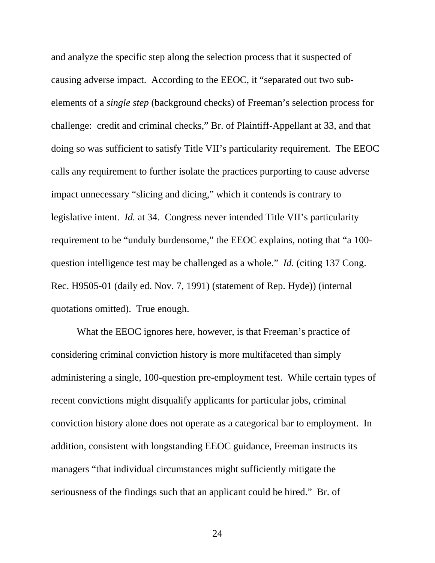and analyze the specific step along the selection process that it suspected of causing adverse impact. According to the EEOC, it "separated out two subelements of a *single step* (background checks) of Freeman's selection process for challenge: credit and criminal checks," Br. of Plaintiff-Appellant at 33, and that doing so was sufficient to satisfy Title VII's particularity requirement. The EEOC calls any requirement to further isolate the practices purporting to cause adverse impact unnecessary "slicing and dicing," which it contends is contrary to legislative intent. *Id.* at 34. Congress never intended Title VII's particularity requirement to be "unduly burdensome," the EEOC explains, noting that "a 100 question intelligence test may be challenged as a whole." *Id.* (citing 137 Cong. Rec. H9505-01 (daily ed. Nov. 7, 1991) (statement of Rep. Hyde)) (internal quotations omitted). True enough.

 What the EEOC ignores here, however, is that Freeman's practice of considering criminal conviction history is more multifaceted than simply administering a single, 100-question pre-employment test. While certain types of recent convictions might disqualify applicants for particular jobs, criminal conviction history alone does not operate as a categorical bar to employment. In addition, consistent with longstanding EEOC guidance, Freeman instructs its managers "that individual circumstances might sufficiently mitigate the seriousness of the findings such that an applicant could be hired." Br. of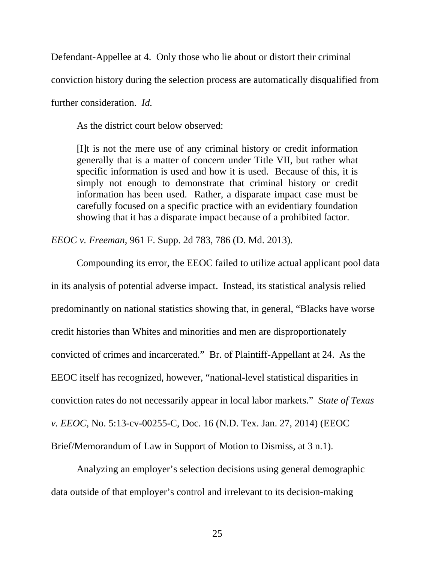Defendant-Appellee at 4. Only those who lie about or distort their criminal

conviction history during the selection process are automatically disqualified from

further consideration. *Id.* 

As the district court below observed:

[I]t is not the mere use of any criminal history or credit information generally that is a matter of concern under Title VII, but rather what specific information is used and how it is used. Because of this, it is simply not enough to demonstrate that criminal history or credit information has been used. Rather, a disparate impact case must be carefully focused on a specific practice with an evidentiary foundation showing that it has a disparate impact because of a prohibited factor.

*EEOC v. Freeman*, 961 F. Supp. 2d 783, 786 (D. Md. 2013).

 Compounding its error, the EEOC failed to utilize actual applicant pool data in its analysis of potential adverse impact. Instead, its statistical analysis relied predominantly on national statistics showing that, in general, "Blacks have worse credit histories than Whites and minorities and men are disproportionately convicted of crimes and incarcerated." Br. of Plaintiff-Appellant at 24. As the EEOC itself has recognized, however, "national-level statistical disparities in conviction rates do not necessarily appear in local labor markets." *State of Texas v. EEOC*, No. 5:13-cv-00255-C, Doc. 16 (N.D. Tex. Jan. 27, 2014) (EEOC Brief/Memorandum of Law in Support of Motion to Dismiss, at 3 n.1).

 Analyzing an employer's selection decisions using general demographic data outside of that employer's control and irrelevant to its decision-making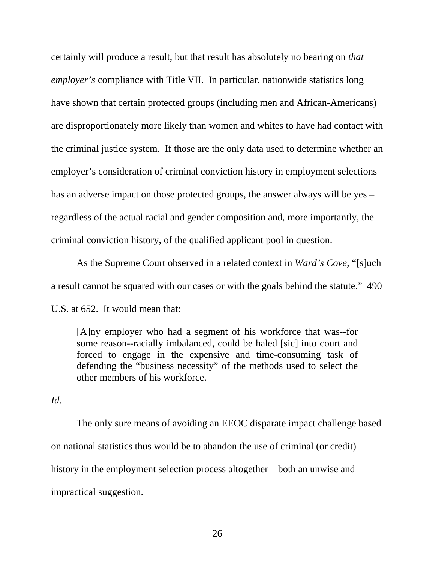certainly will produce a result, but that result has absolutely no bearing on *that employer's* compliance with Title VII. In particular, nationwide statistics long have shown that certain protected groups (including men and African-Americans) are disproportionately more likely than women and whites to have had contact with the criminal justice system. If those are the only data used to determine whether an employer's consideration of criminal conviction history in employment selections has an adverse impact on those protected groups, the answer always will be yes – regardless of the actual racial and gender composition and, more importantly, the criminal conviction history, of the qualified applicant pool in question.

 As the Supreme Court observed in a related context in *Ward's Cove*, "[s]uch a result cannot be squared with our cases or with the goals behind the statute." 490 U.S. at 652. It would mean that:

[A]ny employer who had a segment of his workforce that was--for some reason--racially imbalanced, could be haled [sic] into court and forced to engage in the expensive and time-consuming task of defending the "business necessity" of the methods used to select the other members of his workforce.

*Id.*

 The only sure means of avoiding an EEOC disparate impact challenge based on national statistics thus would be to abandon the use of criminal (or credit) history in the employment selection process altogether – both an unwise and impractical suggestion.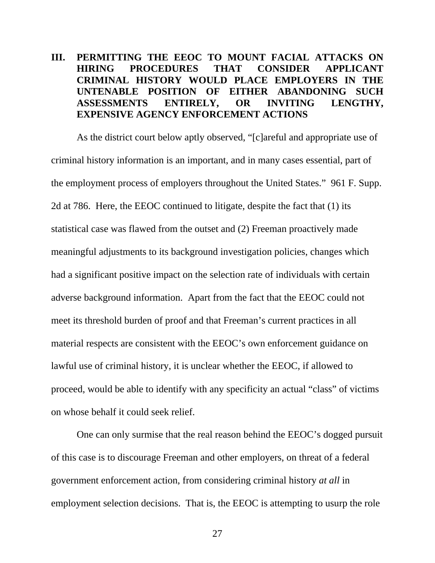## **III. PERMITTING THE EEOC TO MOUNT FACIAL ATTACKS ON HIRING PROCEDURES THAT CONSIDER APPLICANT CRIMINAL HISTORY WOULD PLACE EMPLOYERS IN THE UNTENABLE POSITION OF EITHER ABANDONING SUCH ASSESSMENTS ENTIRELY, OR INVITING LENGTHY, EXPENSIVE AGENCY ENFORCEMENT ACTIONS**

 As the district court below aptly observed, "[c]areful and appropriate use of criminal history information is an important, and in many cases essential, part of the employment process of employers throughout the United States." 961 F. Supp. 2d at 786. Here, the EEOC continued to litigate, despite the fact that (1) its statistical case was flawed from the outset and (2) Freeman proactively made meaningful adjustments to its background investigation policies, changes which had a significant positive impact on the selection rate of individuals with certain adverse background information. Apart from the fact that the EEOC could not meet its threshold burden of proof and that Freeman's current practices in all material respects are consistent with the EEOC's own enforcement guidance on lawful use of criminal history, it is unclear whether the EEOC, if allowed to proceed, would be able to identify with any specificity an actual "class" of victims on whose behalf it could seek relief.

 One can only surmise that the real reason behind the EEOC's dogged pursuit of this case is to discourage Freeman and other employers, on threat of a federal government enforcement action, from considering criminal history *at all* in employment selection decisions. That is, the EEOC is attempting to usurp the role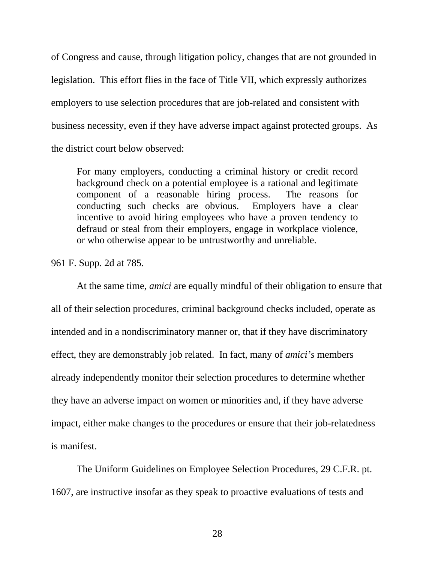of Congress and cause, through litigation policy, changes that are not grounded in legislation. This effort flies in the face of Title VII, which expressly authorizes employers to use selection procedures that are job-related and consistent with business necessity, even if they have adverse impact against protected groups. As the district court below observed:

For many employers, conducting a criminal history or credit record background check on a potential employee is a rational and legitimate component of a reasonable hiring process. The reasons for conducting such checks are obvious. Employers have a clear incentive to avoid hiring employees who have a proven tendency to defraud or steal from their employers, engage in workplace violence, or who otherwise appear to be untrustworthy and unreliable.

961 F. Supp. 2d at 785.

At the same time, *amici* are equally mindful of their obligation to ensure that all of their selection procedures, criminal background checks included, operate as intended and in a nondiscriminatory manner or, that if they have discriminatory effect, they are demonstrably job related. In fact, many of *amici's* members already independently monitor their selection procedures to determine whether they have an adverse impact on women or minorities and, if they have adverse impact, either make changes to the procedures or ensure that their job-relatedness is manifest.

The Uniform Guidelines on Employee Selection Procedures, 29 C.F.R. pt. 1607, are instructive insofar as they speak to proactive evaluations of tests and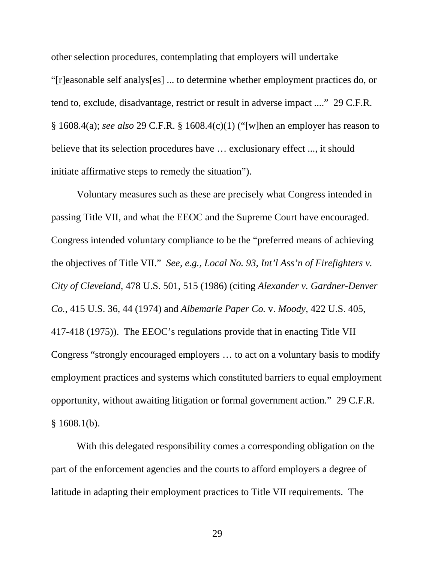other selection procedures, contemplating that employers will undertake "[r]easonable self analys[es] ... to determine whether employment practices do, or tend to, exclude, disadvantage, restrict or result in adverse impact ...." 29 C.F.R. § 1608.4(a); *see also* 29 C.F.R. § 1608.4(c)(1) ("[w]hen an employer has reason to believe that its selection procedures have … exclusionary effect ..., it should initiate affirmative steps to remedy the situation").

Voluntary measures such as these are precisely what Congress intended in passing Title VII, and what the EEOC and the Supreme Court have encouraged. Congress intended voluntary compliance to be the "preferred means of achieving the objectives of Title VII." *See, e.g., Local No. 93, Int'l Ass'n of Firefighters v. City of Cleveland,* 478 U.S. 501, 515 (1986) (citing *Alexander v. Gardner-Denver Co.*, 415 U.S. 36, 44 (1974) and *Albemarle Paper Co.* v. *Moody,* 422 U.S. 405, 417-418 (1975)). The EEOC's regulations provide that in enacting Title VII Congress "strongly encouraged employers … to act on a voluntary basis to modify employment practices and systems which constituted barriers to equal employment opportunity, without awaiting litigation or formal government action." 29 C.F.R.  $§ 1608.1(b).$ 

With this delegated responsibility comes a corresponding obligation on the part of the enforcement agencies and the courts to afford employers a degree of latitude in adapting their employment practices to Title VII requirements. The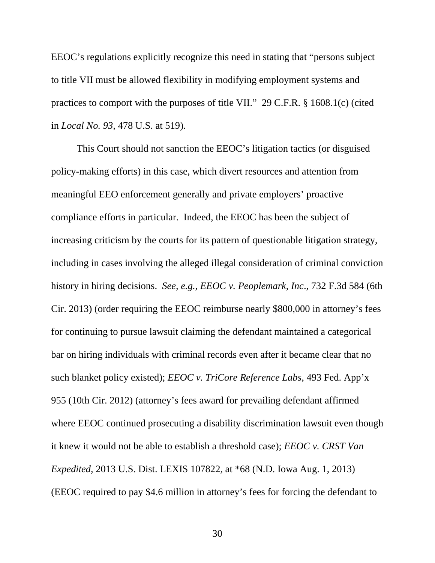EEOC's regulations explicitly recognize this need in stating that "persons subject to title VII must be allowed flexibility in modifying employment systems and practices to comport with the purposes of title VII." 29 C.F.R. § 1608.1(c) (cited in *Local No. 93,* 478 U.S. at 519).

This Court should not sanction the EEOC's litigation tactics (or disguised policy-making efforts) in this case, which divert resources and attention from meaningful EEO enforcement generally and private employers' proactive compliance efforts in particular. Indeed, the EEOC has been the subject of increasing criticism by the courts for its pattern of questionable litigation strategy, including in cases involving the alleged illegal consideration of criminal conviction history in hiring decisions. *See, e.g., EEOC v. Peoplemark, Inc*., 732 F.3d 584 (6th Cir. 2013) (order requiring the EEOC reimburse nearly \$800,000 in attorney's fees for continuing to pursue lawsuit claiming the defendant maintained a categorical bar on hiring individuals with criminal records even after it became clear that no such blanket policy existed); *EEOC v. TriCore Reference Labs*, 493 Fed. App'x 955 (10th Cir. 2012) (attorney's fees award for prevailing defendant affirmed where EEOC continued prosecuting a disability discrimination lawsuit even though it knew it would not be able to establish a threshold case); *EEOC v. CRST Van Expedited*, 2013 U.S. Dist. LEXIS 107822, at \*68 (N.D. Iowa Aug. 1, 2013) (EEOC required to pay \$4.6 million in attorney's fees for forcing the defendant to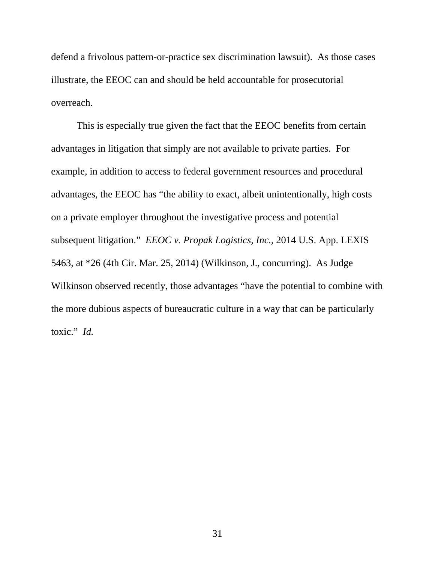defend a frivolous pattern-or-practice sex discrimination lawsuit). As those cases illustrate, the EEOC can and should be held accountable for prosecutorial overreach.

This is especially true given the fact that the EEOC benefits from certain advantages in litigation that simply are not available to private parties. For example, in addition to access to federal government resources and procedural advantages, the EEOC has "the ability to exact, albeit unintentionally, high costs on a private employer throughout the investigative process and potential subsequent litigation." *EEOC v. Propak Logistics, Inc.*, 2014 U.S. App. LEXIS 5463, at \*26 (4th Cir. Mar. 25, 2014) (Wilkinson, J., concurring). As Judge Wilkinson observed recently, those advantages "have the potential to combine with the more dubious aspects of bureaucratic culture in a way that can be particularly toxic." *Id.*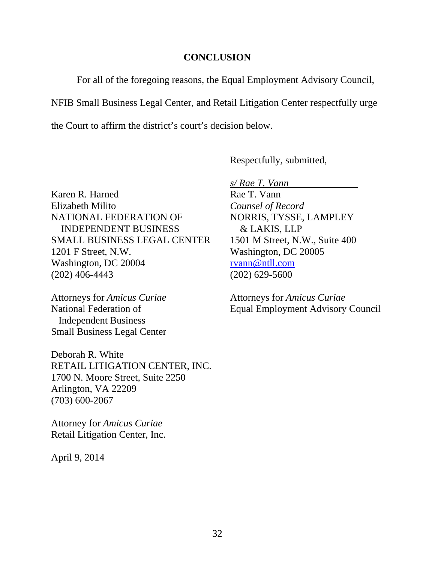#### **CONCLUSION**

For all of the foregoing reasons, the Equal Employment Advisory Council,

NFIB Small Business Legal Center, and Retail Litigation Center respectfully urge

the Court to affirm the district's court's decision below.

Respectfully, submitted,

Karen R. Harned Rae T. Vann Elizabeth Milito *Counsel of Record* NATIONAL FEDERATION OF NORRIS, TYSSE, LAMPLEY INDEPENDENT BUSINESS & LAKIS, LLP SMALL BUSINESS LEGAL CENTER 1501 M Street, N.W., Suite 400 1201 F Street, N.W. Washington, DC 20005 Washington, DC 20004 [rvann@ntll.com](mailto:rvann@ntll.com) (202) 406-4443 (202) 629-5600

Attorneys for *Amicus Curiae* Attorneys for *Amicus Curiae* Independent Business Small Business Legal Center

Deborah R. White RETAIL LITIGATION CENTER, INC. 1700 N. Moore Street, Suite 2250 Arlington, VA 22209 (703) 600-2067

Attorney for *Amicus Curiae* Retail Litigation Center, Inc.

April 9, 2014

*s/ Rae T. Vann* 

National Federation of Equal Employment Advisory Council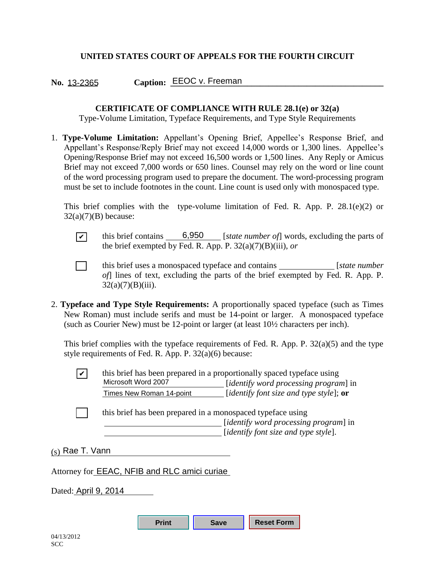#### **UNITED STATES COURT OF APPEALS FOR THE FOURTH CIRCUIT**

**No. \_\_\_\_\_\_\_ Caption: \_\_\_\_\_\_\_\_\_\_\_\_\_\_\_\_\_\_\_\_\_\_\_\_\_\_\_\_\_\_\_\_\_\_\_\_\_\_\_\_\_\_\_\_\_\_\_\_\_\_** 13-2365 EEOC v. Freeman

#### **CERTIFICATE OF COMPLIANCE WITH RULE 28.1(e) or 32(a)**

Type-Volume Limitation, Typeface Requirements, and Type Style Requirements

1. **Type-Volume Limitation:** Appellant's Opening Brief, Appellee's Response Brief, and Appellant's Response/Reply Brief may not exceed 14,000 words or 1,300 lines. Appellee's Opening/Response Brief may not exceed 16,500 words or 1,500 lines. Any Reply or Amicus Brief may not exceed 7,000 words or 650 lines. Counsel may rely on the word or line count of the word processing program used to prepare the document. The word-processing program must be set to include footnotes in the count. Line count is used only with monospaced type.

This brief complies with the type-volume limitation of Fed. R. App. P. 28.1(e)(2) or  $32(a)(7)(B)$  because:

 $\boxed{\checkmark}$  this brief contains  $\boxed{6,950}$  [*state number of*] words, excluding the parts of the brief exempted by Fed. R. App. P. 32(a)(7)(B)(iii), *or*

 [ ] this brief uses a monospaced typeface and contains [*state number of*] lines of text, excluding the parts of the brief exempted by Fed. R. App. P.  $32(a)(7)(B)(iii)$ .

2. **Typeface and Type Style Requirements:** A proportionally spaced typeface (such as Times New Roman) must include serifs and must be 14-point or larger. A monospaced typeface (such as Courier New) must be 12-point or larger (at least 10½ characters per inch). this brief contains \_<br>the brief exempted 1<br>this brief uses a mo<br>of lines of text, ex<br> $32(a)(7)(B)(iii)$ .<br>face and Type Style Req<br>r Roman) must include se<br>h as Courier New) must be<br>brief complies with the ty<br>requirements of Fed.

This brief complies with the typeface requirements of Fed. R. App. P.  $32(a)(5)$  and the type style requirements of Fed. R. App. P.  $32(a)(6)$  because:

|                   | Microsoft Word 2007                                         | this brief has been prepared in a proportionally spaced typeface using<br>[identify word processing program] in |
|-------------------|-------------------------------------------------------------|-----------------------------------------------------------------------------------------------------------------|
|                   | Times New Roman 14-point                                    | [identify font size and type style]; $or$                                                                       |
|                   | this brief has been prepared in a monospaced typeface using | [identify word processing program] in<br>[ <i>identify font size and type style</i> ].                          |
| $(s)$ Rae T. Vann |                                                             |                                                                                                                 |
|                   | Attorney for <b>EEAC, NFIB and RLC amici curiae</b>         |                                                                                                                 |

Dated: April 9, 2014

| <b>Print</b> | <b>Save</b> | Reset Form |
|--------------|-------------|------------|
|--------------|-------------|------------|